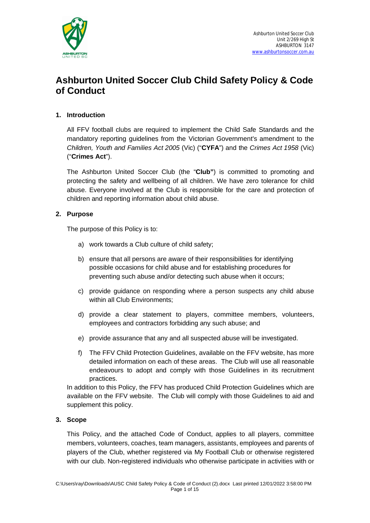

# **1. Introduction**

All FFV football clubs are required to implement the Child Safe Standards and the mandatory reporting guidelines from the Victorian Government's amendment to the *Children, Youth and Families Act 2005* (Vic) ("**CYFA**") and the *Crimes Act 1958* (Vic) ("**Crimes Act**").

The Ashburton United Soccer Club (the "**Club"**) is committed to promoting and protecting the safety and wellbeing of all children. We have zero tolerance for child abuse. Everyone involved at the Club is responsible for the care and protection of children and reporting information about child abuse.

# **2. Purpose**

The purpose of this Policy is to:

- a) work towards a Club culture of child safety;
- b) ensure that all persons are aware of their responsibilities for identifying possible occasions for child abuse and for establishing procedures for preventing such abuse and/or detecting such abuse when it occurs;
- c) provide guidance on responding where a person suspects any child abuse within all Club Environments;
- d) provide a clear statement to players, committee members, volunteers, employees and contractors forbidding any such abuse; and
- e) provide assurance that any and all suspected abuse will be investigated.
- f) The FFV Child Protection Guidelines, available on the FFV website, has more detailed information on each of these areas. The Club will use all reasonable endeavours to adopt and comply with those Guidelines in its recruitment practices.

In addition to this Policy, the FFV has produced Child Protection Guidelines which are available on the FFV website. The Club will comply with those Guidelines to aid and supplement this policy.

# **3. Scope**

This Policy, and the attached Code of Conduct, applies to all players, committee members, volunteers, coaches, team managers, assistants, employees and parents of players of the Club, whether registered via My Football Club or otherwise registered with our club. Non-registered individuals who otherwise participate in activities with or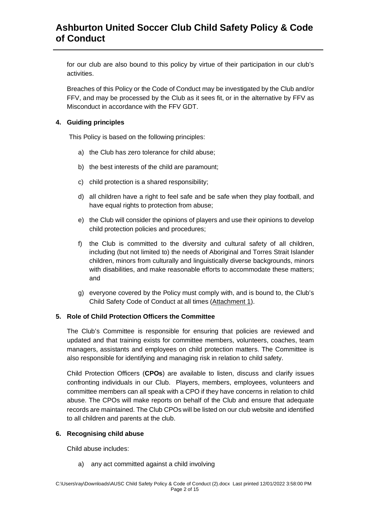for our club are also bound to this policy by virtue of their participation in our club's activities.

Breaches of this Policy or the Code of Conduct may be investigated by the Club and/or FFV, and may be processed by the Club as it sees fit, or in the alternative by FFV as Misconduct in accordance with the FFV GDT.

# **4. Guiding principles**

This Policy is based on the following principles:

- a) the Club has zero tolerance for child abuse;
- b) the best interests of the child are paramount;
- c) child protection is a shared responsibility;
- d) all children have a right to feel safe and be safe when they play football, and have equal rights to protection from abuse;
- e) the Club will consider the opinions of players and use their opinions to develop child protection policies and procedures;
- f) the Club is committed to the diversity and cultural safety of all children, including (but not limited to) the needs of Aboriginal and Torres Strait Islander children, minors from culturally and linguistically diverse backgrounds, minors with disabilities, and make reasonable efforts to accommodate these matters; and
- g) everyone covered by the Policy must comply with, and is bound to, the Club's Child Safety Code of Conduct at all times (Attachment 1).

# **5. Role of Child Protection Officers the Committee**

The Club's Committee is responsible for ensuring that policies are reviewed and updated and that training exists for committee members, volunteers, coaches, team managers, assistants and employees on child protection matters. The Committee is also responsible for identifying and managing risk in relation to child safety.

Child Protection Officers (**CPOs**) are available to listen, discuss and clarify issues confronting individuals in our Club. Players, members, employees, volunteers and committee members can all speak with a CPO if they have concerns in relation to child abuse. The CPOs will make reports on behalf of the Club and ensure that adequate records are maintained. The Club CPOs will be listed on our club website and identified to all children and parents at the club.

## **6. Recognising child abuse**

Child abuse includes:

a) any act committed against a child involving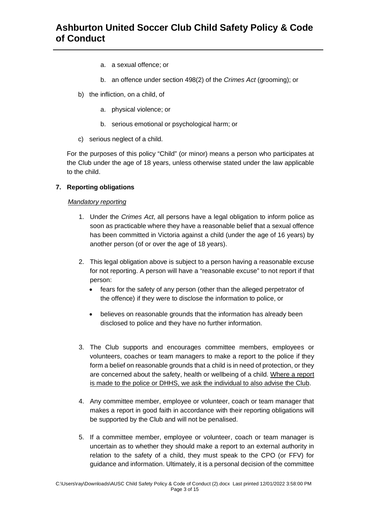- a. a sexual offence; or
- b. an offence under section 498(2) of the *Crimes Act* (grooming); or
- b) the infliction, on a child, of
	- a. physical violence; or
	- b. serious emotional or psychological harm; or
- c) serious neglect of a child.

For the purposes of this policy "Child" (or minor) means a person who participates at the Club under the age of 18 years, unless otherwise stated under the law applicable to the child.

# **7. Reporting obligations**

# *Mandatory reporting*

- 1. Under the *Crimes Act*, all persons have a legal obligation to inform police as soon as practicable where they have a reasonable belief that a sexual offence has been committed in Victoria against a child (under the age of 16 years) by another person (of or over the age of 18 years).
- 2. This legal obligation above is subject to a person having a reasonable excuse for not reporting. A person will have a "reasonable excuse" to not report if that person:
	- · fears for the safety of any person (other than the alleged perpetrator of the offence) if they were to disclose the information to police, or
	- · believes on reasonable grounds that the information has already been disclosed to police and they have no further information.
- 3. The Club supports and encourages committee members, employees or volunteers, coaches or team managers to make a report to the police if they form a belief on reasonable grounds that a child is in need of protection, or they are concerned about the safety, health or wellbeing of a child. Where a report is made to the police or DHHS, we ask the individual to also advise the Club.
- 4. Any committee member, employee or volunteer, coach or team manager that makes a report in good faith in accordance with their reporting obligations will be supported by the Club and will not be penalised.
- 5. If a committee member, employee or volunteer, coach or team manager is uncertain as to whether they should make a report to an external authority in relation to the safety of a child, they must speak to the CPO (or FFV) for guidance and information. Ultimately, it is a personal decision of the committee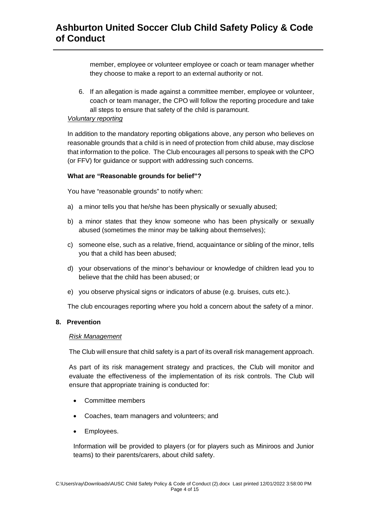member, employee or volunteer employee or coach or team manager whether they choose to make a report to an external authority or not.

6. If an allegation is made against a committee member, employee or volunteer, coach or team manager, the CPO will follow the reporting procedure and take all steps to ensure that safety of the child is paramount.

# *Voluntary reporting*

In addition to the mandatory reporting obligations above, any person who believes on reasonable grounds that a child is in need of protection from child abuse, may disclose that information to the police. The Club encourages all persons to speak with the CPO (or FFV) for guidance or support with addressing such concerns.

# **What are "Reasonable grounds for belief"?**

You have "reasonable grounds" to notify when:

- a) a minor tells you that he/she has been physically or sexually abused;
- b) a minor states that they know someone who has been physically or sexually abused (sometimes the minor may be talking about themselves);
- c) someone else, such as a relative, friend, acquaintance or sibling of the minor, tells you that a child has been abused;
- d) your observations of the minor's behaviour or knowledge of children lead you to believe that the child has been abused; or
- e) you observe physical signs or indicators of abuse (e.g. bruises, cuts etc.).

The club encourages reporting where you hold a concern about the safety of a minor.

# **8. Prevention**

## *Risk Management*

The Club will ensure that child safety is a part of its overall risk management approach.

As part of its risk management strategy and practices, the Club will monitor and evaluate the effectiveness of the implementation of its risk controls. The Club will ensure that appropriate training is conducted for:

- · Committee members
- · Coaches, team managers and volunteers; and
- Employees.

Information will be provided to players (or for players such as Miniroos and Junior teams) to their parents/carers, about child safety.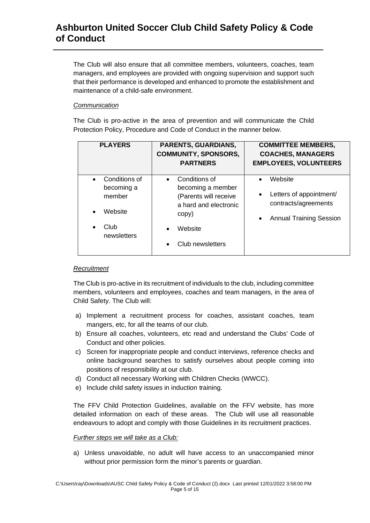The Club will also ensure that all committee members, volunteers, coaches, team managers, and employees are provided with ongoing supervision and support such that their performance is developed and enhanced to promote the establishment and maintenance of a child-safe environment.

# *Communication*

The Club is pro-active in the area of prevention and will communicate the Child Protection Policy, Procedure and Code of Conduct in the manner below.

| <b>PLAYERS</b>                                                          | <b>PARENTS, GUARDIANS,</b><br><b>COMMUNITY, SPONSORS,</b><br><b>PARTNERS</b>                                                              | <b>COMMITTEE MEMBERS,</b><br><b>COACHES, MANAGERS</b><br><b>EMPLOYEES, VOLUNTEERS</b>                                               |
|-------------------------------------------------------------------------|-------------------------------------------------------------------------------------------------------------------------------------------|-------------------------------------------------------------------------------------------------------------------------------------|
| Conditions of<br>becoming a<br>member<br>Website<br>Club<br>newsletters | Conditions of<br>becoming a member<br>(Parents will receive<br>a hard and electronic<br>copy)<br>Website<br>$\bullet$<br>Club newsletters | Website<br>$\bullet$<br>Letters of appointment/<br>$\bullet$<br>contracts/agreements<br><b>Annual Training Session</b><br>$\bullet$ |

# *Recruitment*

The Club is pro-active in its recruitment of individuals to the club, including committee members, volunteers and employees, coaches and team managers, in the area of Child Safety. The Club will:

- a) Implement a recruitment process for coaches, assistant coaches, team mangers, etc, for all the teams of our club.
- b) Ensure all coaches, volunteers, etc read and understand the Clubs' Code of Conduct and other policies.
- c) Screen for inappropriate people and conduct interviews, reference checks and online background searches to satisfy ourselves about people coming into positions of responsibility at our club.
- d) Conduct all necessary Working with Children Checks (WWCC).
- e) Include child safety issues in induction training.

The FFV Child Protection Guidelines, available on the FFV website, has more detailed information on each of these areas. The Club will use all reasonable endeavours to adopt and comply with those Guidelines in its recruitment practices.

## *Further steps we will take as a Club:*

a) Unless unavoidable, no adult will have access to an unaccompanied minor without prior permission form the minor's parents or guardian.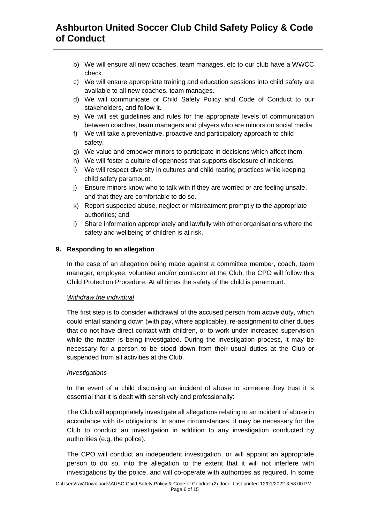- b) We will ensure all new coaches, team manages, etc to our club have a WWCC check.
- c) We will ensure appropriate training and education sessions into child safety are available to all new coaches, team manages.
- d) We will communicate or Child Safety Policy and Code of Conduct to our stakeholders, and follow it.
- e) We will set guidelines and rules for the appropriate levels of communication between coaches, team managers and players who are minors on social media.
- f) We will take a preventative, proactive and participatory approach to child safety.
- g) We value and empower minors to participate in decisions which affect them.
- h) We will foster a culture of openness that supports disclosure of incidents.
- i) We will respect diversity in cultures and child rearing practices while keeping child safety paramount.
- j) Ensure minors know who to talk with if they are worried or are feeling unsafe, and that they are comfortable to do so.
- k) Report suspected abuse, neglect or mistreatment promptly to the appropriate authorities; and
- l) Share information appropriately and lawfully with other organisations where the safety and wellbeing of children is at risk.

# **9. Responding to an allegation**

In the case of an allegation being made against a committee member, coach, team manager, employee, volunteer and/or contractor at the Club, the CPO will follow this Child Protection Procedure. At all times the safety of the child is paramount.

## *Withdraw the individual*

The first step is to consider withdrawal of the accused person from active duty, which could entail standing down (with pay, where applicable), re-assignment to other duties that do not have direct contact with children, or to work under increased supervision while the matter is being investigated. During the investigation process, it may be necessary for a person to be stood down from their usual duties at the Club or suspended from all activities at the Club.

## *Investigations*

In the event of a child disclosing an incident of abuse to someone they trust it is essential that it is dealt with sensitively and professionally:

The Club will appropriately investigate all allegations relating to an incident of abuse in accordance with its obligations. In some circumstances, it may be necessary for the Club to conduct an investigation in addition to any investigation conducted by authorities (e.g. the police).

The CPO will conduct an independent investigation, or will appoint an appropriate person to do so, into the allegation to the extent that it will not interfere with investigations by the police, and will co-operate with authorities as required. In some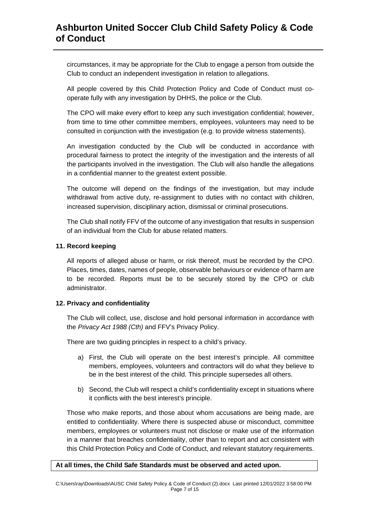circumstances, it may be appropriate for the Club to engage a person from outside the Club to conduct an independent investigation in relation to allegations.

All people covered by this Child Protection Policy and Code of Conduct must cooperate fully with any investigation by DHHS, the police or the Club.

The CPO will make every effort to keep any such investigation confidential; however, from time to time other committee members, employees, volunteers may need to be consulted in conjunction with the investigation (e.g. to provide witness statements).

An investigation conducted by the Club will be conducted in accordance with procedural fairness to protect the integrity of the investigation and the interests of all the participants involved in the investigation. The Club will also handle the allegations in a confidential manner to the greatest extent possible.

The outcome will depend on the findings of the investigation, but may include withdrawal from active duty, re-assignment to duties with no contact with children, increased supervision, disciplinary action, dismissal or criminal prosecutions.

The Club shall notify FFV of the outcome of any investigation that results in suspension of an individual from the Club for abuse related matters.

## **11. Record keeping**

All reports of alleged abuse or harm, or risk thereof, must be recorded by the CPO. Places, times, dates, names of people, observable behaviours or evidence of harm are to be recorded. Reports must be to be securely stored by the CPO or club administrator.

## **12. Privacy and confidentiality**

The Club will collect, use, disclose and hold personal information in accordance with the *Privacy Act 1988 (Cth)* and FFV's Privacy Policy.

There are two guiding principles in respect to a child's privacy.

- a) First, the Club will operate on the best interest's principle. All committee members, employees, volunteers and contractors will do what they believe to be in the best interest of the child. This principle supersedes all others.
- b) Second, the Club will respect a child's confidentiality except in situations where it conflicts with the best interest's principle.

Those who make reports, and those about whom accusations are being made, are entitled to confidentiality. Where there is suspected abuse or misconduct, committee members, employees or volunteers must not disclose or make use of the information in a manner that breaches confidentiality, other than to report and act consistent with this Child Protection Policy and Code of Conduct, and relevant statutory requirements.

#### **At all times, the Child Safe Standards must be observed and acted upon.**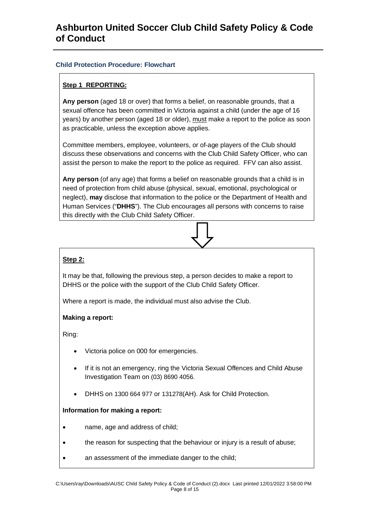# **Child Protection Procedure: Flowchart**

# **Step 1 REPORTING:**

**Any person** (aged 18 or over) that forms a belief, on reasonable grounds, that a sexual offence has been committed in Victoria against a child (under the age of 16 years) by another person (aged 18 or older), must make a report to the police as soon as practicable, unless the exception above applies.

Committee members, employee, volunteers, or of-age players of the Club should discuss these observations and concerns with the Club Child Safety Officer, who can assist the person to make the report to the police as required. FFV can also assist.

**Any person** (of any age) that forms a belief on reasonable grounds that a child is in need of protection from child abuse (physical, sexual, emotional, psychological or neglect), **may** disclose that information to the police or the Department of Health and Human Services ("**DHHS**"). The Club encourages all persons with concerns to raise this directly with the Club Child Safety Officer.

# **Step 2:**

It may be that, following the previous step, a person decides to make a report to DHHS or the police with the support of the Club Child Safety Officer.

Where a report is made, the individual must also advise the Club.

# **Making a report:**

Ring:

- Victoria police on 000 for emergencies.
- If it is not an emergency, ring the Victoria Sexual Offences and Child Abuse Investigation Team on (03) 8690 4056.
- · DHHS on 1300 664 977 or 131278(AH). Ask for Child Protection.

# **Information for making a report:**

- · name, age and address of child;
- · the reason for suspecting that the behaviour or injury is a result of abuse;
- an assessment of the immediate danger to the child;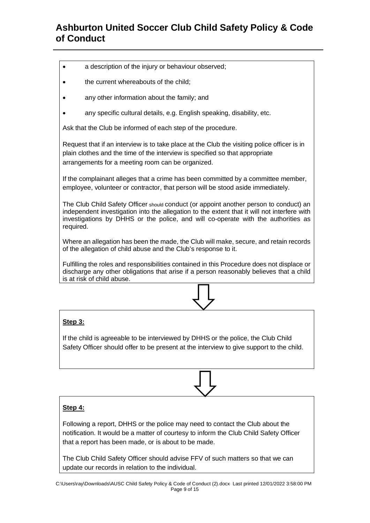- a description of the injury or behaviour observed;
- · the current whereabouts of the child;
- any other information about the family; and
- any specific cultural details, e.g. English speaking, disability, etc.

Ask that the Club be informed of each step of the procedure.

Request that if an interview is to take place at the Club the visiting police officer is in plain clothes and the time of the interview is specified so that appropriate arrangements for a meeting room can be organized.

If the complainant alleges that a crime has been committed by a committee member, employee, volunteer or contractor, that person will be stood aside immediately.

The Club Child Safety Officer should conduct (or appoint another person to conduct) an independent investigation into the allegation to the extent that it will not interfere with investigations by DHHS or the police, and will co-operate with the authorities as required.

Where an allegation has been the made, the Club will make, secure, and retain records of the allegation of child abuse and the Club's response to it.

Fulfilling the roles and responsibilities contained in this Procedure does not displace or discharge any other obligations that arise if a person reasonably believes that a child is at risk of child abuse.

# **Step 3:**

If the child is agreeable to be interviewed by DHHS or the police, the Club Child Safety Officer should offer to be present at the interview to give support to the child.

# **Step 4:**

Following a report, DHHS or the police may need to contact the Club about the notification. It would be a matter of courtesy to inform the Club Child Safety Officer that a report has been made, or is about to be made.

The Club Child Safety Officer should advise FFV of such matters so that we can update our records in relation to the individual.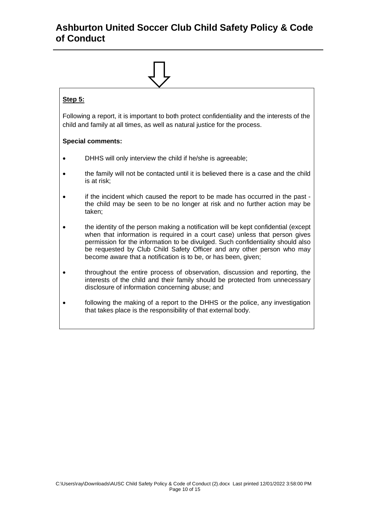

# **Step 5:**

Following a report, it is important to both protect confidentiality and the interests of the child and family at all times, as well as natural justice for the process.

# **Special comments:**

- · DHHS will only interview the child if he/she is agreeable;
- · the family will not be contacted until it is believed there is a case and the child is at risk;
- · if the incident which caused the report to be made has occurred in the past the child may be seen to be no longer at risk and no further action may be taken;
- · the identity of the person making a notification will be kept confidential (except when that information is required in a court case) unless that person gives permission for the information to be divulged. Such confidentiality should also be requested by Club Child Safety Officer and any other person who may become aware that a notification is to be, or has been, given;
- · throughout the entire process of observation, discussion and reporting, the interests of the child and their family should be protected from unnecessary disclosure of information concerning abuse; and
- · following the making of a report to the DHHS or the police, any investigation that takes place is the responsibility of that external body.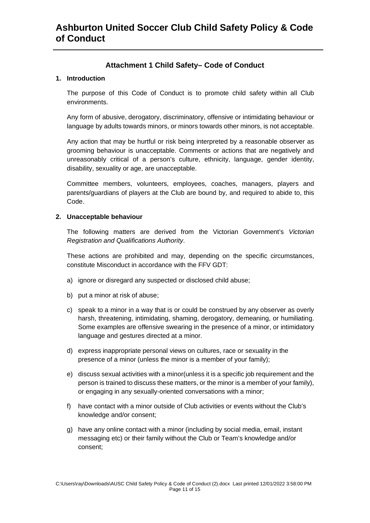# **Attachment 1 Child Safety– Code of Conduct**

# **1. Introduction**

The purpose of this Code of Conduct is to promote child safety within all Club environments.

Any form of abusive, derogatory, discriminatory, offensive or intimidating behaviour or language by adults towards minors, or minors towards other minors, is not acceptable.

Any action that may be hurtful or risk being interpreted by a reasonable observer as grooming behaviour is unacceptable. Comments or actions that are negatively and unreasonably critical of a person's culture, ethnicity, language, gender identity, disability, sexuality or age, are unacceptable.

Committee members, volunteers, employees, coaches, managers, players and parents/guardians of players at the Club are bound by, and required to abide to, this Code.

# **2. Unacceptable behaviour**

The following matters are derived from the Victorian Government's *Victorian Registration and Qualifications Authority*.

These actions are prohibited and may, depending on the specific circumstances, constitute Misconduct in accordance with the FFV GDT:

- a) ignore or disregard any suspected or disclosed child abuse;
- b) put a minor at risk of abuse;
- c) speak to a minor in a way that is or could be construed by any observer as overly harsh, threatening, intimidating, shaming, derogatory, demeaning, or humiliating. Some examples are offensive swearing in the presence of a minor, or intimidatory language and gestures directed at a minor.
- d) express inappropriate personal views on cultures, race or sexuality in the presence of a minor (unless the minor is a member of your family);
- e) discuss sexual activities with a minor(unless it is a specific job requirement and the person is trained to discuss these matters, or the minor is a member of your family), or engaging in any sexually-oriented conversations with a minor;
- f) have contact with a minor outside of Club activities or events without the Club's knowledge and/or consent;
- g) have any online contact with a minor (including by social media, email, instant messaging etc) or their family without the Club or Team's knowledge and/or consent;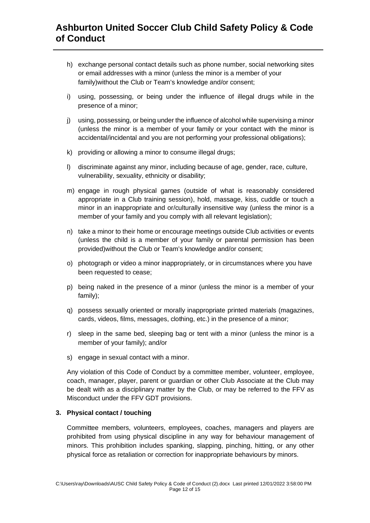- h) exchange personal contact details such as phone number, social networking sites or email addresses with a minor (unless the minor is a member of your family)without the Club or Team's knowledge and/or consent;
- i) using, possessing, or being under the influence of illegal drugs while in the presence of a minor;
- j) using, possessing, or being under the influence of alcohol while supervising a minor (unless the minor is a member of your family or your contact with the minor is accidental/incidental and you are not performing your professional obligations);
- k) providing or allowing a minor to consume illegal drugs;
- l) discriminate against any minor, including because of age, gender, race, culture, vulnerability, sexuality, ethnicity or disability;
- m) engage in rough physical games (outside of what is reasonably considered appropriate in a Club training session), hold, massage, kiss, cuddle or touch a minor in an inappropriate and or/culturally insensitive way (unless the minor is a member of your family and you comply with all relevant legislation);
- n) take a minor to their home or encourage meetings outside Club activities or events (unless the child is a member of your family or parental permission has been provided)without the Club or Team's knowledge and/or consent;
- o) photograph or video a minor inappropriately, or in circumstances where you have been requested to cease;
- p) being naked in the presence of a minor (unless the minor is a member of your family);
- q) possess sexually oriented or morally inappropriate printed materials (magazines, cards, videos, films, messages, clothing, etc.) in the presence of a minor;
- r) sleep in the same bed, sleeping bag or tent with a minor (unless the minor is a member of your family); and/or
- s) engage in sexual contact with a minor.

Any violation of this Code of Conduct by a committee member, volunteer, employee, coach, manager, player, parent or guardian or other Club Associate at the Club may be dealt with as a disciplinary matter by the Club, or may be referred to the FFV as Misconduct under the FFV GDT provisions.

# **3. Physical contact / touching**

Committee members, volunteers, employees, coaches, managers and players are prohibited from using physical discipline in any way for behaviour management of minors. This prohibition includes spanking, slapping, pinching, hitting, or any other physical force as retaliation or correction for inappropriate behaviours by minors.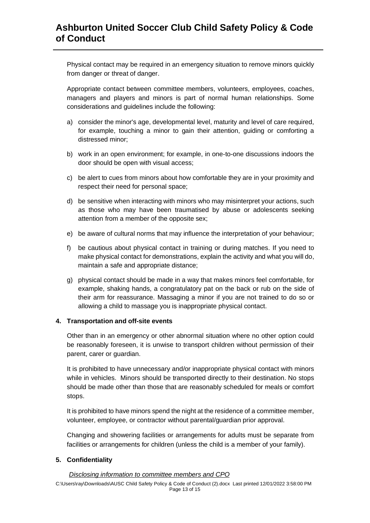Physical contact may be required in an emergency situation to remove minors quickly from danger or threat of danger.

Appropriate contact between committee members, volunteers, employees, coaches, managers and players and minors is part of normal human relationships. Some considerations and guidelines include the following:

- a) consider the minor's age, developmental level, maturity and level of care required, for example, touching a minor to gain their attention, guiding or comforting a distressed minor;
- b) work in an open environment; for example, in one-to-one discussions indoors the door should be open with visual access;
- c) be alert to cues from minors about how comfortable they are in your proximity and respect their need for personal space;
- d) be sensitive when interacting with minors who may misinterpret your actions, such as those who may have been traumatised by abuse or adolescents seeking attention from a member of the opposite sex;
- e) be aware of cultural norms that may influence the interpretation of your behaviour;
- f) be cautious about physical contact in training or during matches. If you need to make physical contact for demonstrations, explain the activity and what you will do, maintain a safe and appropriate distance;
- g) physical contact should be made in a way that makes minors feel comfortable, for example, shaking hands, a congratulatory pat on the back or rub on the side of their arm for reassurance. Massaging a minor if you are not trained to do so or allowing a child to massage you is inappropriate physical contact.

# **4. Transportation and off-site events**

Other than in an emergency or other abnormal situation where no other option could be reasonably foreseen, it is unwise to transport children without permission of their parent, carer or guardian.

It is prohibited to have unnecessary and/or inappropriate physical contact with minors while in vehicles. Minors should be transported directly to their destination. No stops should be made other than those that are reasonably scheduled for meals or comfort stops.

It is prohibited to have minors spend the night at the residence of a committee member, volunteer, employee, or contractor without parental/guardian prior approval.

Changing and showering facilities or arrangements for adults must be separate from facilities or arrangements for children (unless the child is a member of your family).

# **5. Confidentiality**

## *Disclosing information to committee members and CPO*